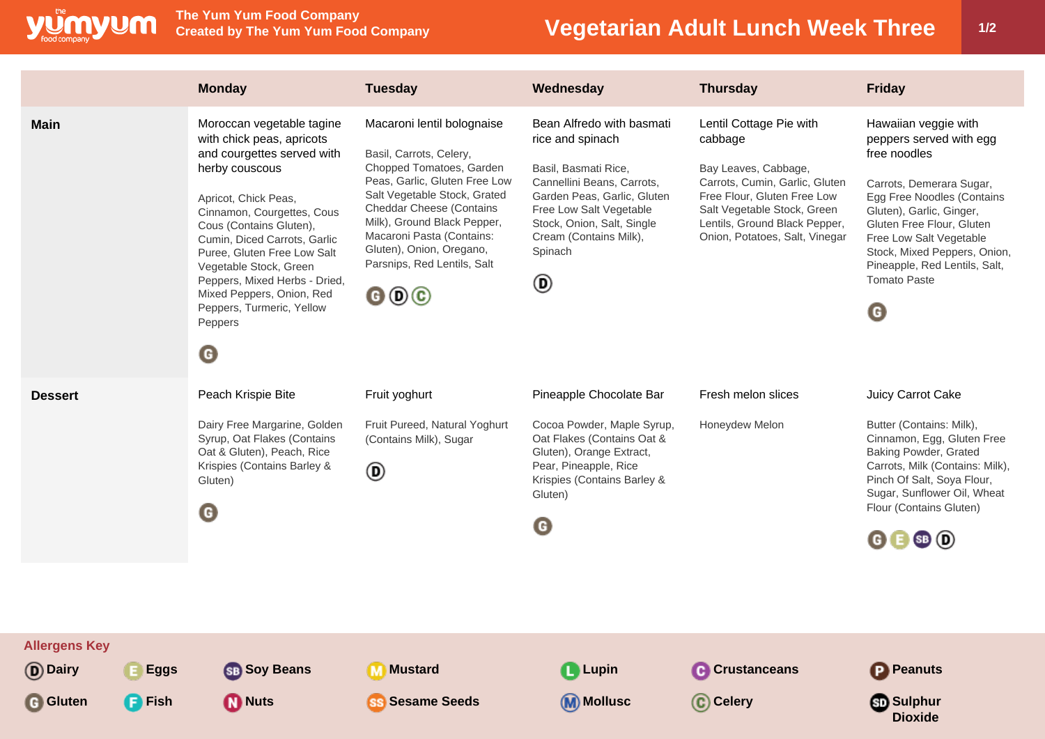

**The Yum Yum Food Company**

## **Vegetarian Adult Lunch Week Three 1/2**

|                                                       |                              | <b>Monday</b>                                                                                                                                                                                                                                                                                                                                                                                                   | <b>Tuesday</b>                                                                                                                                                                                                                                                                                                                                                    | Wednesday                                                                                                                                                                                                                             | <b>Thursday</b>                                                                                                                                                                                                               | <b>Friday</b>                                                                                                                                                                                                                                                                                              |
|-------------------------------------------------------|------------------------------|-----------------------------------------------------------------------------------------------------------------------------------------------------------------------------------------------------------------------------------------------------------------------------------------------------------------------------------------------------------------------------------------------------------------|-------------------------------------------------------------------------------------------------------------------------------------------------------------------------------------------------------------------------------------------------------------------------------------------------------------------------------------------------------------------|---------------------------------------------------------------------------------------------------------------------------------------------------------------------------------------------------------------------------------------|-------------------------------------------------------------------------------------------------------------------------------------------------------------------------------------------------------------------------------|------------------------------------------------------------------------------------------------------------------------------------------------------------------------------------------------------------------------------------------------------------------------------------------------------------|
| <b>Main</b>                                           |                              | Moroccan vegetable tagine<br>with chick peas, apricots<br>and courgettes served with<br>herby couscous<br>Apricot, Chick Peas,<br>Cinnamon, Courgettes, Cous<br>Cous (Contains Gluten),<br>Cumin, Diced Carrots, Garlic<br>Puree, Gluten Free Low Salt<br>Vegetable Stock, Green<br>Peppers, Mixed Herbs - Dried,<br>Mixed Peppers, Onion, Red<br>Peppers, Turmeric, Yellow<br>Peppers<br>$\boldsymbol{\Theta}$ | Macaroni lentil bolognaise<br>Basil, Carrots, Celery,<br>Chopped Tomatoes, Garden<br>Peas, Garlic, Gluten Free Low<br>Salt Vegetable Stock, Grated<br><b>Cheddar Cheese (Contains</b><br>Milk), Ground Black Pepper,<br>Macaroni Pasta (Contains:<br>Gluten), Onion, Oregano,<br>Parsnips, Red Lentils, Salt<br>$\mathbf{\Theta} \mathbf{\Theta} \mathbf{\Theta}$ | Bean Alfredo with basmati<br>rice and spinach<br>Basil, Basmati Rice,<br>Cannellini Beans, Carrots,<br>Garden Peas, Garlic, Gluten<br>Free Low Salt Vegetable<br>Stock, Onion, Salt, Single<br>Cream (Contains Milk),<br>Spinach<br>◉ | Lentil Cottage Pie with<br>cabbage<br>Bay Leaves, Cabbage,<br>Carrots, Cumin, Garlic, Gluten<br>Free Flour, Gluten Free Low<br>Salt Vegetable Stock, Green<br>Lentils, Ground Black Pepper,<br>Onion, Potatoes, Salt, Vinegar | Hawaiian veggie with<br>peppers served with egg<br>free noodles<br>Carrots, Demerara Sugar,<br>Egg Free Noodles (Contains<br>Gluten), Garlic, Ginger,<br>Gluten Free Flour, Gluten<br>Free Low Salt Vegetable<br>Stock, Mixed Peppers, Onion,<br>Pineapple, Red Lentils, Salt,<br><b>Tomato Paste</b><br>G |
| <b>Dessert</b>                                        |                              | Peach Krispie Bite<br>Dairy Free Margarine, Golden<br>Syrup, Oat Flakes (Contains<br>Oat & Gluten), Peach, Rice<br>Krispies (Contains Barley &<br>Gluten)<br>◉                                                                                                                                                                                                                                                  | Fruit yoghurt<br>Fruit Pureed, Natural Yoghurt<br>(Contains Milk), Sugar<br>◉                                                                                                                                                                                                                                                                                     | Pineapple Chocolate Bar<br>Cocoa Powder, Maple Syrup,<br>Oat Flakes (Contains Oat &<br>Gluten), Orange Extract,<br>Pear, Pineapple, Rice<br>Krispies (Contains Barley &<br>Gluten)<br>G                                               | Fresh melon slices<br>Honeydew Melon                                                                                                                                                                                          | Juicy Carrot Cake<br>Butter (Contains: Milk),<br>Cinnamon, Egg, Gluten Free<br>Baking Powder, Grated<br>Carrots, Milk (Contains: Milk),<br>Pinch Of Salt, Soya Flour,<br>Sugar, Sunflower Oil, Wheat<br>Flour (Contains Gluten)<br>$\mathbf{G} \mathbf{B}$ SB $\mathbf{D}$                                 |
| <b>Allergens Key</b><br><b>D</b> Dairy<br>Gluten<br>G | <b>Eggs</b><br><b>P</b> Fish | SB Soy Beans<br><b>D</b> Nuts                                                                                                                                                                                                                                                                                                                                                                                   | <b>Mustard</b><br><b>SS</b> Sesame Seeds                                                                                                                                                                                                                                                                                                                          | <b>Lupin</b><br>(M) Mollusc                                                                                                                                                                                                           | <b>C</b> Crustanceans<br>C Celery                                                                                                                                                                                             | <b>P</b> Peanuts<br><b>Sulphur</b><br><b>Dioxide</b>                                                                                                                                                                                                                                                       |